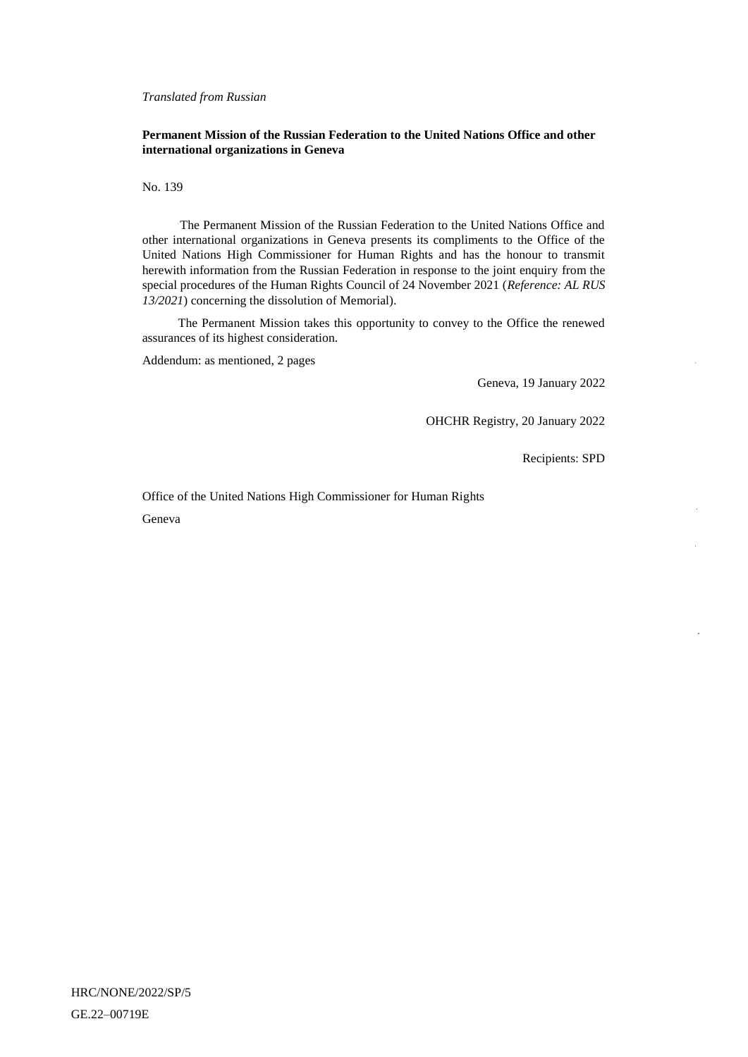*Translated from Russian*

### **Permanent Mission of the Russian Federation to the United Nations Office and other international organizations in Geneva**

No. 139

The Permanent Mission of the Russian Federation to the United Nations Office and other international organizations in Geneva presents its compliments to the Office of the United Nations High Commissioner for Human Rights and has the honour to transmit herewith information from the Russian Federation in response to the joint enquiry from the special procedures of the Human Rights Council of 24 November 2021 (*Reference: AL RUS 13/2021*) concerning the dissolution of Memorial).

The Permanent Mission takes this opportunity to convey to the Office the renewed assurances of its highest consideration.

Addendum: as mentioned, 2 pages

Geneva, 19 January 2022

OHCHR Registry, 20 January 2022

Recipients: SPD

Office of the United Nations High Commissioner for Human Rights

Geneva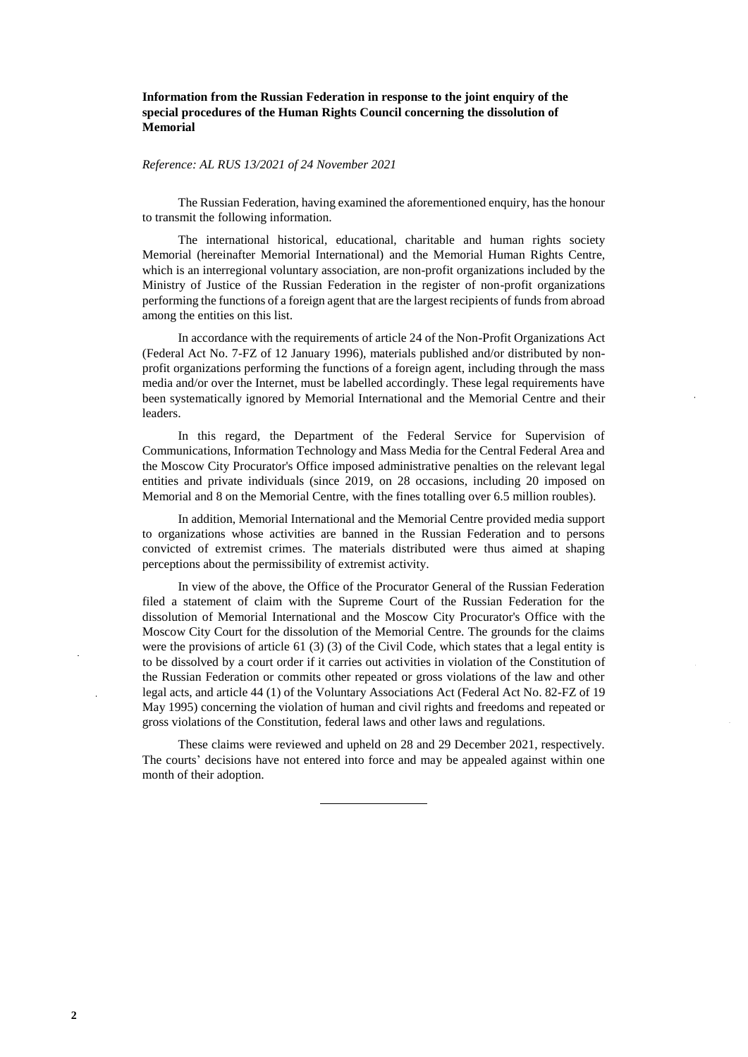**Information from the Russian Federation in response to the joint enquiry of the special procedures of the Human Rights Council concerning the dissolution of Memorial**

#### *Reference: AL RUS 13/2021 of 24 November 2021*

The Russian Federation, having examined the aforementioned enquiry, has the honour to transmit the following information.

The international historical, educational, charitable and human rights society Memorial (hereinafter Memorial International) and the Memorial Human Rights Centre, which is an interregional voluntary association, are non-profit organizations included by the Ministry of Justice of the Russian Federation in the register of non-profit organizations performing the functions of a foreign agent that are the largest recipients of funds from abroad among the entities on this list.

In accordance with the requirements of article 24 of the Non-Profit Organizations Act (Federal Act No. 7-FZ of 12 January 1996), materials published and/or distributed by nonprofit organizations performing the functions of a foreign agent, including through the mass media and/or over the Internet, must be labelled accordingly. These legal requirements have been systematically ignored by Memorial International and the Memorial Centre and their leaders.

In this regard, the Department of the Federal Service for Supervision of Communications, Information Technology and Mass Media for the Central Federal Area and the Moscow City Procurator's Office imposed administrative penalties on the relevant legal entities and private individuals (since 2019, on 28 occasions, including 20 imposed on Memorial and 8 on the Memorial Centre, with the fines totalling over 6.5 million roubles).

In addition, Memorial International and the Memorial Centre provided media support to organizations whose activities are banned in the Russian Federation and to persons convicted of extremist crimes. The materials distributed were thus aimed at shaping perceptions about the permissibility of extremist activity.

In view of the above, the Office of the Procurator General of the Russian Federation filed a statement of claim with the Supreme Court of the Russian Federation for the dissolution of Memorial International and the Moscow City Procurator's Office with the Moscow City Court for the dissolution of the Memorial Centre. The grounds for the claims were the provisions of article 61 (3) (3) of the Civil Code, which states that a legal entity is to be dissolved by a court order if it carries out activities in violation of the Constitution of the Russian Federation or commits other repeated or gross violations of the law and other legal acts, and article 44 (1) of the Voluntary Associations Act (Federal Act No. 82-FZ of 19 May 1995) concerning the violation of human and civil rights and freedoms and repeated or gross violations of the Constitution, federal laws and other laws and regulations.

These claims were reviewed and upheld on 28 and 29 December 2021, respectively. The courts' decisions have not entered into force and may be appealed against within one month of their adoption.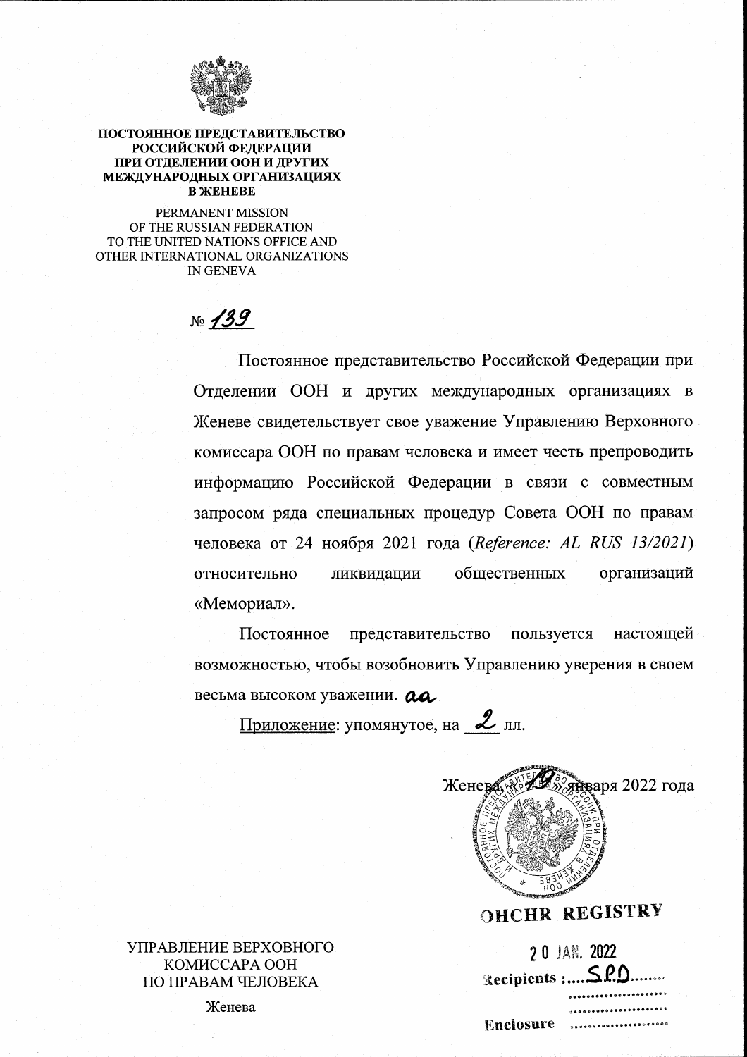

#### ПОСТОЯННОЕ ПРЕДСТАВИТЕЛЬСТВО РОССИЙСКОЙ ФЕЛЕРАЦИИ ПРИ ОТДЕЛЕНИИ ООН И ДРУГИХ МЕЖДУНАРОДНЫХ ОРГАНИЗАЦИЯХ **B ЖЕНЕВЕ**

PERMANENT MISSION OF THE RUSSIAN FEDERATION TO THE UNITED NATIONS OFFICE AND OTHER INTERNATIONAL ORGANIZATIONS **IN GENEVA** 

 $N_{\rm 2}$  /39

Постоянное представительство Российской Федерации при Отделении ООН и других международных организациях в Женеве свидетельствует свое уважение Управлению Верховного комиссара ООН по правам человека и имеет честь препроводить информацию Российской Федерации в связи с совместным запросом ряда специальных процедур Совета ООН по правам человека от 24 ноября 2021 года (Reference: AL RUS 13/2021) общественных организаций относительно ликвидации «Мемориал».

Постоянное представительство пользуется настоящей возможностью, чтобы возобновить Управлению уверения в своем весьма высоком уважении. ад.

Приложение: упомянутое, на  $Z$  лл.



# **OHCHR REGISTRY**

|           | 2 0 JAN. 2022     |
|-----------|-------------------|
|           | Recipients : SPD  |
|           | $0.0000000000000$ |
|           | ,,,,,,,,,,,,,,,,, |
| Enclosure |                   |

УПРАВЛЕНИЕ ВЕРХОВНОГО. KOMИCCAPA OOH ПО ПРАВАМ ЧЕЛОВЕКА

Женева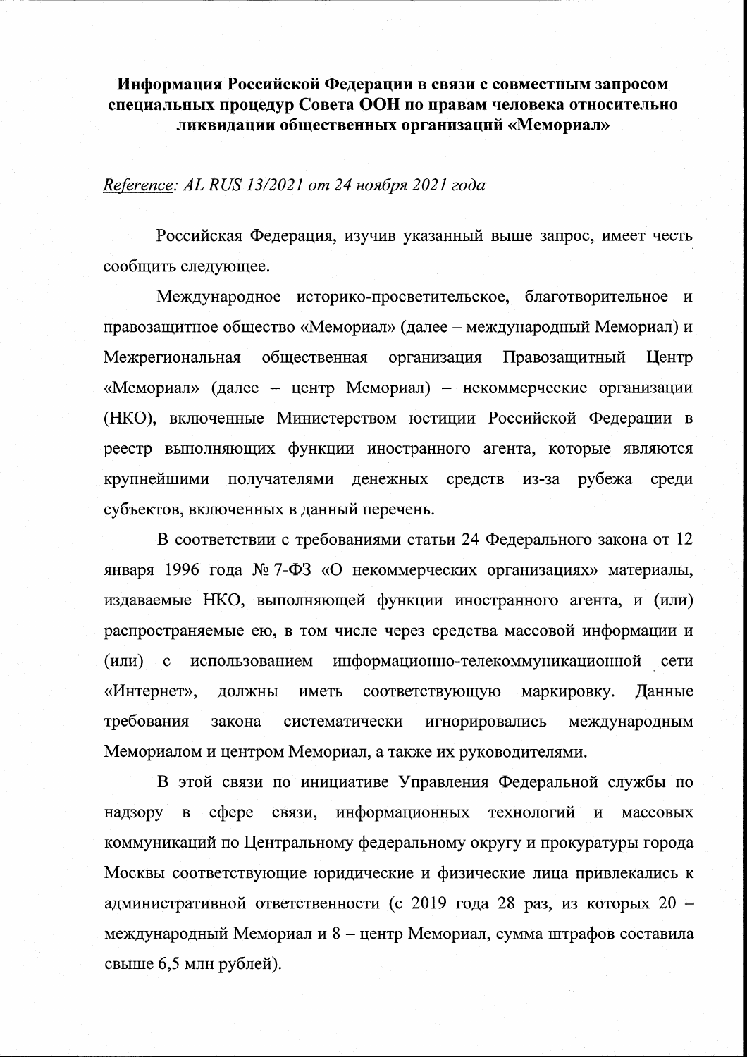Информация Российской Федерации в связи с совместным запросом специальных процедур Совета ООН по правам человека относительно ликвидации общественных организаций «Мемориал»

## Reference: AL RUS 13/2021 от 24 ноября 2021 года

Российская Федерация, изучив указанный выше запрос, имеет честь сообщить следующее.

Международное историко-просветительское, благотворительное и правозащитное общество «Мемориал» (далее - международный Мемориал) и общественная организация Правозащитный Межрегиональная Центр «Мемориал» (далее – центр Мемориал) – некоммерческие организации (НКО), включенные Министерством юстиции Российской Федерации в реестр выполняющих функции иностранного агента, которые являются крупнейшими получателями денежных средств рубежа из-за среди субъектов, включенных в данный перечень.

В соответствии с требованиями статьи 24 Федерального закона от 12 января 1996 года № 7-ФЗ «О некоммерческих организациях» материалы, издаваемые НКО, выполняющей функции иностранного агента, и (или) распространяемые ею, в том числе через средства массовой информации и  $(MJ)$  с использованием информационно-телекоммуникационной сети «Интернет», ДОЛЖНЫ иметь соответствующую маркировку. Данные требования игнорировались закона систематически международным Мемориалом и центром Мемориал, а также их руководителями.

В этой связи по инициативе Управления Федеральной службы по сфере связи, информационных технологий и надзору  $\, {\bf B}$ массовых коммуникаций по Центральному федеральному округу и прокуратуры города Москвы соответствующие юридические и физические лица привлекались к административной ответственности (с 2019 года 28 раз, из которых 20 международный Мемориал и 8 - центр Мемориал, сумма штрафов составила свыше 6,5 млн рублей).